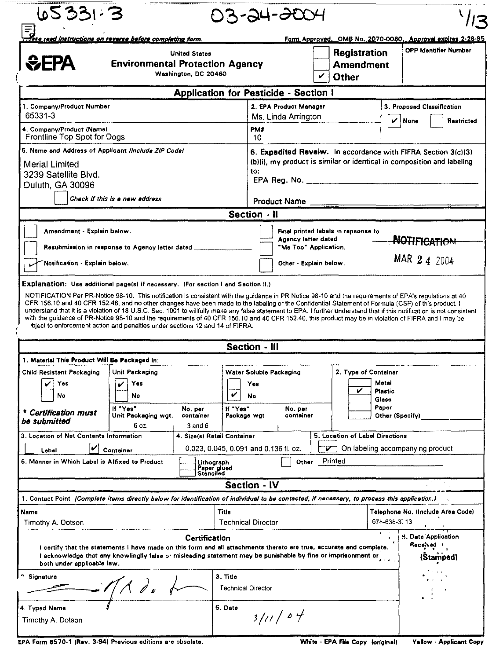| <b>United States</b><br>EFA<br><b>Environmental Protection Agency</b><br>Washington, DC 20460                                                                                                                                                                                                                                                                                                                                                                                          |                                                                                                                                                                                                                                      |                                                                                                                                                |                           | ↙<br><b>Other</b>                                                      |         |                                 | <b>Registration</b><br><b>Amendment</b> | Form Approved. OMB No. 2070-0060. Approval expires 2-28-95<br><b>OPP Identifier Number</b> |  |  |
|----------------------------------------------------------------------------------------------------------------------------------------------------------------------------------------------------------------------------------------------------------------------------------------------------------------------------------------------------------------------------------------------------------------------------------------------------------------------------------------|--------------------------------------------------------------------------------------------------------------------------------------------------------------------------------------------------------------------------------------|------------------------------------------------------------------------------------------------------------------------------------------------|---------------------------|------------------------------------------------------------------------|---------|---------------------------------|-----------------------------------------|--------------------------------------------------------------------------------------------|--|--|
|                                                                                                                                                                                                                                                                                                                                                                                                                                                                                        |                                                                                                                                                                                                                                      | <b>Application for Pesticide - Section I</b>                                                                                                   |                           |                                                                        |         |                                 |                                         |                                                                                            |  |  |
| 1. Company/Product Number                                                                                                                                                                                                                                                                                                                                                                                                                                                              |                                                                                                                                                                                                                                      |                                                                                                                                                |                           | 2. EPA Product Manager                                                 |         |                                 | 3. Proposed Classification              |                                                                                            |  |  |
| 65331-3                                                                                                                                                                                                                                                                                                                                                                                                                                                                                |                                                                                                                                                                                                                                      |                                                                                                                                                |                           | Ms. Linda Arrington                                                    |         |                                 | $\mathbf{v}$ None<br>Restricted         |                                                                                            |  |  |
| 4. Company/Product (Name)<br>Frontline Top Spot for Dogs                                                                                                                                                                                                                                                                                                                                                                                                                               |                                                                                                                                                                                                                                      |                                                                                                                                                | PM#<br>10                 |                                                                        |         |                                 |                                         |                                                                                            |  |  |
| 5. Name and Address of Applicant (Include ZIP Code)<br><b>Merial Limited</b><br>3239 Satellite Blvd.<br>Duluth, GA 30096                                                                                                                                                                                                                                                                                                                                                               |                                                                                                                                                                                                                                      | 6. Expedited Reveiw. In accordance with FIFRA Section 3(c)(3)<br>(b)(i), my product is similar or identical in composition and labeling<br>to: |                           |                                                                        |         |                                 |                                         |                                                                                            |  |  |
|                                                                                                                                                                                                                                                                                                                                                                                                                                                                                        | Check if this is a new address                                                                                                                                                                                                       |                                                                                                                                                |                           | <b>Product Name</b>                                                    |         |                                 |                                         |                                                                                            |  |  |
|                                                                                                                                                                                                                                                                                                                                                                                                                                                                                        |                                                                                                                                                                                                                                      |                                                                                                                                                | Section - II              |                                                                        |         |                                 |                                         |                                                                                            |  |  |
| Notification - Explain below.<br>Explanation: Use additional page(s) if necessary. (For section I and Section II.)                                                                                                                                                                                                                                                                                                                                                                     | Resubmission in response to Agency letter dated ______                                                                                                                                                                               |                                                                                                                                                |                           | Agency letter dated<br>"Me Too" Application.<br>Other - Explain below. |         |                                 |                                         | <b>NOTIFICATION</b><br>MAR 2 4 2004                                                        |  |  |
| bject to enforcement action and penalties under sections 12 and 14 of FIFRA.                                                                                                                                                                                                                                                                                                                                                                                                           | NOTIFICATION Per PR-Notice 98-10. This notification is consistent with the guidance in PR Notice 98-10 and the requirements of EPA's regulations at 40                                                                               |                                                                                                                                                |                           |                                                                        |         |                                 |                                         |                                                                                            |  |  |
| CFR 156.10 and 40 CFR 152.46, and no other changes have been made to the labeling or the Confidential Statement of Formula (CSF) of this product. I<br>understand that it is a violation of 18 U.S.C. Sec. 1001 to willfully make any false statement to EPA. I further understand that if this notification is not consistent<br>with the guidance of PR-Notice 98-10 and the requirements of 40 CFR 156.10 and 40 CFR 152.46, this product may be in violation of FIFRA and I may be |                                                                                                                                                                                                                                      |                                                                                                                                                | <b>Section - III</b>      |                                                                        |         |                                 |                                         |                                                                                            |  |  |
|                                                                                                                                                                                                                                                                                                                                                                                                                                                                                        |                                                                                                                                                                                                                                      |                                                                                                                                                |                           |                                                                        |         |                                 |                                         |                                                                                            |  |  |
|                                                                                                                                                                                                                                                                                                                                                                                                                                                                                        | Unit Packaging                                                                                                                                                                                                                       |                                                                                                                                                | Water Soluble Packaging   |                                                                        |         | 2. Type of Container            |                                         |                                                                                            |  |  |
| Yes                                                                                                                                                                                                                                                                                                                                                                                                                                                                                    | Yes                                                                                                                                                                                                                                  | V                                                                                                                                              | Yes                       |                                                                        |         | ✓                               | Motal<br><b>Plastic</b>                 |                                                                                            |  |  |
| No                                                                                                                                                                                                                                                                                                                                                                                                                                                                                     | No<br>If "Yes"<br>Unit Packaging wgt.                                                                                                                                                                                                | If 'Yes'<br>No. per<br>container                                                                                                               | No<br>Package wgt         | No. per<br>container                                                   |         |                                 | Glass<br>Paper<br>Other (Specify)       |                                                                                            |  |  |
|                                                                                                                                                                                                                                                                                                                                                                                                                                                                                        | 6 oz.                                                                                                                                                                                                                                | 3 and 6                                                                                                                                        |                           |                                                                        |         |                                 |                                         |                                                                                            |  |  |
|                                                                                                                                                                                                                                                                                                                                                                                                                                                                                        |                                                                                                                                                                                                                                      | 4. Size(s) Retail Container                                                                                                                    |                           |                                                                        |         | 5. Location of Label Directions |                                         |                                                                                            |  |  |
| Label                                                                                                                                                                                                                                                                                                                                                                                                                                                                                  | Container                                                                                                                                                                                                                            | 0.023, 0.045, 0.091 and 0.136 fl. oz.                                                                                                          |                           |                                                                        |         |                                 |                                         | On labeling accompanying product                                                           |  |  |
|                                                                                                                                                                                                                                                                                                                                                                                                                                                                                        |                                                                                                                                                                                                                                      | Lithograph<br>Paper glued<br>Stànciled                                                                                                         |                           | Other                                                                  | Printed |                                 |                                         |                                                                                            |  |  |
|                                                                                                                                                                                                                                                                                                                                                                                                                                                                                        |                                                                                                                                                                                                                                      |                                                                                                                                                | <b>Section - IV</b>       |                                                                        |         |                                 |                                         |                                                                                            |  |  |
|                                                                                                                                                                                                                                                                                                                                                                                                                                                                                        |                                                                                                                                                                                                                                      |                                                                                                                                                |                           |                                                                        |         |                                 |                                         |                                                                                            |  |  |
|                                                                                                                                                                                                                                                                                                                                                                                                                                                                                        |                                                                                                                                                                                                                                      | Titla                                                                                                                                          | <b>Technical Director</b> |                                                                        |         |                                 | 671-636-3713                            |                                                                                            |  |  |
| both under applicable law.                                                                                                                                                                                                                                                                                                                                                                                                                                                             | I certify that the statements I have made on this form and all attachments thereto are true, accurate and complete.<br>I acknowledge that any knowlinglly false or misleading statement may be punishable by fine or imprisonment or | Certification                                                                                                                                  |                           |                                                                        |         |                                 |                                         | 5. Date Application<br>Received +<br>(Štamped)                                             |  |  |
| 1. Material This Product Will Be Packaged In:<br>Child-Resistant Packaging<br>* Certification must<br>be submitted<br>3. Location of Net Contents Information.<br>6. Manner in Which Label is Affixed to Product<br>1. Contact Point (Complete items directly below for identification of individual to be contacted, if necessary, to process this application.)<br>Name<br>Timothy A. Dotson<br><sup>n</sup> Signature                                                               | $\bigwedge$ do                                                                                                                                                                                                                       | 3. Title                                                                                                                                       | <b>Technical Director</b> |                                                                        |         |                                 |                                         | Telephone No. (Include Area Code)                                                          |  |  |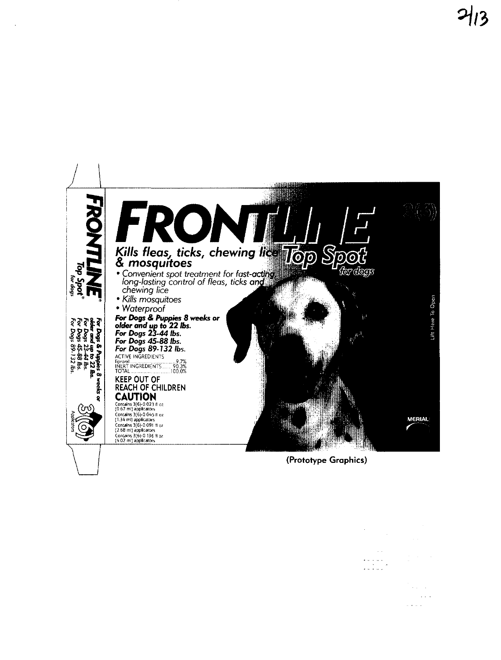

(Prototype Graphics)

 $\frac{1}{2} \sum_{i=1}^{n} \frac{1}{2} \sum_{j=1}^{n} \frac{1}{2} \sum_{j=1}^{n} \frac{1}{2} \sum_{j=1}^{n} \frac{1}{2} \sum_{j=1}^{n} \frac{1}{2} \sum_{j=1}^{n} \frac{1}{2} \sum_{j=1}^{n} \frac{1}{2} \sum_{j=1}^{n} \frac{1}{2} \sum_{j=1}^{n} \frac{1}{2} \sum_{j=1}^{n} \frac{1}{2} \sum_{j=1}^{n} \frac{1}{2} \sum_{j=1}^{n} \frac{1}{2} \sum_{j=1}^{n$ 

 $\sim$   $\sim$ 

> $\omega_{\rm{max}}$  ,  $\omega_{\rm{max}}$  $\sim 10^{-1}$  $\omega$  ,  $\omega$  ,  $\omega$  ,  $\omega$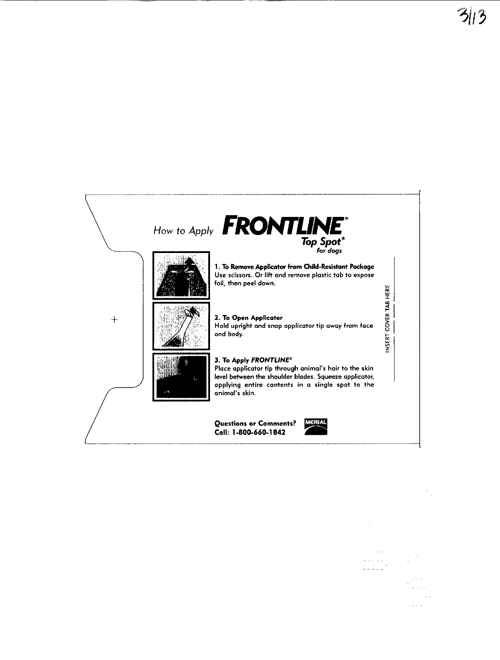

- contract of the contract of the con-

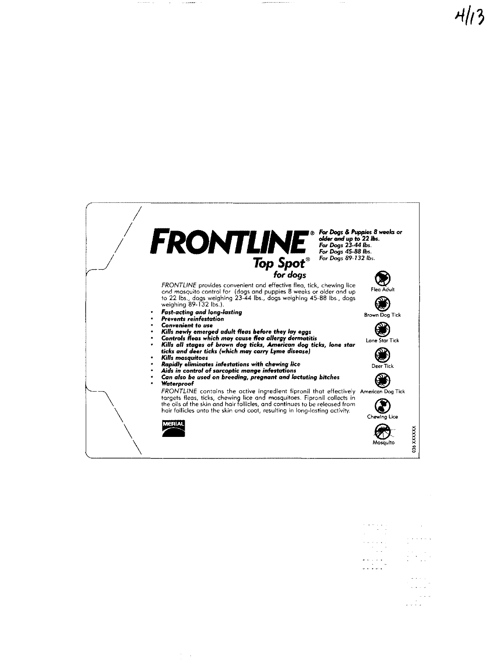

 $\frac{1}{\sqrt{2}}$  $\omega_{\rm{c}}$  ,  $\omega_{\rm{c}}$  ,  $\omega_{\rm{c}}$  ,  $\omega_{\rm{c}}$ . .<br>• . . . .

 $\omega$  ,  $\omega$  ,  $\omega$ 

 $\sim$   $\sim$   $\sim$   $\sim$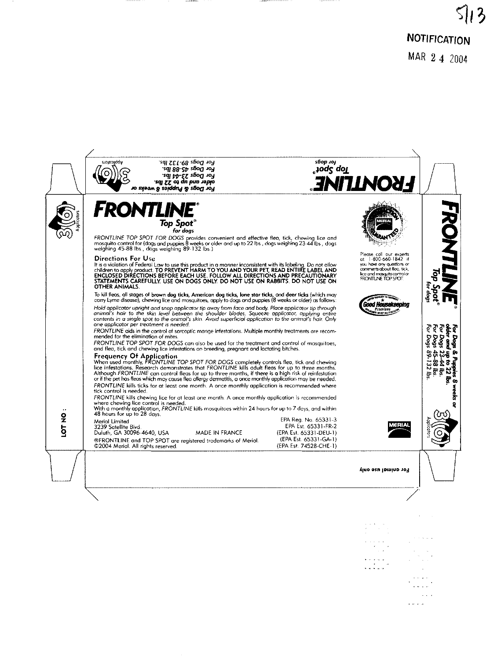$\frac{1}{2}$ e e e a e ------<br>Kaman

> and and  $\label{eq:1} \omega^{\dagger}(\omega)=\omega$  $\omega$  and  $\alpha$  , as an excel

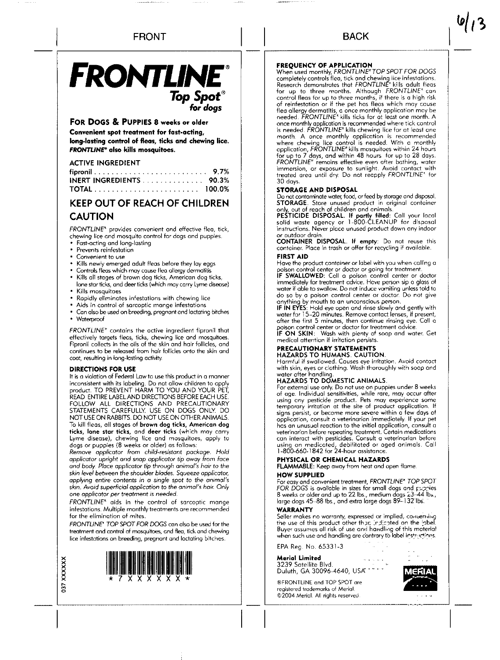# FRONTLINE® *Top Spot® lor dogs*

#### FOR DOGS & PUPPIES 8 weeks or older

Convenient spot treatment for fast-acting. long-lasting control of fleas, ticks and chewing lice. FRONTLINE<sup>®</sup> also kills mosquitoes.

#### ACTIVE INGREDIENT

| ____________________                                                |  |  |  |  |  |  |
|---------------------------------------------------------------------|--|--|--|--|--|--|
|                                                                     |  |  |  |  |  |  |
| <b>INERT INGREDIENTS</b> $\ldots \ldots \ldots \ldots \ldots$ 90.3% |  |  |  |  |  |  |
| <b>TOTAL</b> 100.0%                                                 |  |  |  |  |  |  |

## KEEP OUT OF REACH OF CHILDREN CAUTION

FRONTLINE" provides convenient and effective flea, tick, chewing lice and mosquito control for dogs and puppies.

- Fast-acting and long-tasting
- Prevents reinfestotion
- Convenient to use
- Kills newly emerged adult fleas before they loy eggs
- Controls fleas which may couse flea allergy dermatitis
- Kills all stages of brown dog ticks, American dog ticks, lone star ticks, and deer ticks (which may carry Lyme disease) Kills mosquitoes
- 
- Rapidly eliminates infestotions with chewing lice Aids in control of sorcoptic mange infestations
- Can also be used on breeding, pregnant and lactating bitches
- Waterproof

**o37** 

XXXXXX

FRONTLINE' contains the active ingredient fipronil that effectively targets fleas, ticks, chewing lice and mosquitoes, Fipronil collects in the oils of the skin and hair follicles, and continues to be released from hair follicles onto the skin ond coot, resulting in long-lasting activity.

#### DIRECTIONS FOR USE

It is a violation of Fedeml Low to use this product in a manner inconsistent with its labeling. Do not allow children to apply product. TO PREVENT HARM TO YOU AND YOUR PET, READ ENTIRE LABEL AND DIRECTIONS BEFORE EACH USE FOLLOW ALL DIRECTIONS AND PRECAUTIONARY STATEMENTS CAREFULLY. USE ON DOGS ONLY DO NOT USE ON RABBITS. DO NOT USE ON OTHER ANIMALS To kill fleas, all stages of brown dog ticks, American dog ticks, lone star ticks, and deer ticks (which may carry Lyme disease), chewing lice and mosquitoes, apply to dogs or puppies (8 weeks or older) as follows:

*Remove applicator from child-resistant package. Hold applicator upright and snap applicator tip* away *from face and body\_ Place applicator tip through animal's hair* to *the skin level between the shoulder blades. Squeeze applicator, applying entire contents* in a *single spot to the animal's skin. Avoid superficial application* to *the animal's hair. Only*  one *applicator per treatment* is *needed.* 

FRONTLINE" aids in the control of sarcoptic mange infestations. Multiple monthly treatments are recommended for the elimination of mites.

FRONTLINE" TOP SPOT FOR DOGS can also be used for the treatment and control of mosquitoes, and flea, tick and chewing lice infestations on breeding, pregnant and lactating bitches



**FREQUENCY OF APPLICATION**<br>When used monthly, FRONTLINE\*TOP SPOT FOR DOGS completely controls flea, tick and chewing lice infestations.<br>Research demonstrates that *FRONTLINE*\* kills adult fleas<br>for up to three months. Although *FRONTLINE*\* can<br>control fleas for up to three months, if there is a flea allergy dermatitis, a once monthly application may be needed. FRONTLlNE~ kills ticks for at least one month. A once monthly application is recommended where tick control is needed. FRONTLINE\* kills chewing lice for at least one month, A once monthly application is recommended where chewing lice control is needed. With a monthly application, FRONTLINE" kills mosquitoes within 24 hours for up to 7 days, and within 48 hours for up to 28 days.<br>FRONTLINE" remains effective even after bathing, water<br>immersion, or exposure to sunlight. Avoid contact with<br>treated area until dry. Do not reapply FRONTLINE" for 30 day5

BACK

#### STORAGE AND DISPOSAL

Do nat contaminate water, food, or feed by stomge and disposal, STORAGE. Store unused product in original container only, out of reach of children and animals.

PESTICIDE DISPOSAL. If partly filled: Call your local solid waste agency or 1-800-CLEANUP for disposal instructions. Never place unused product down any indoor

or outdoor drain.<br>**CONTAINER DISPOSAL. If empty**: Do not reuse this<br>container. Place in trash or offer for recycling if available.

#### FIRST AID

Have the product container or label with you when colling a poison control center or doctor or going for treatment.<br>**IF SWALLOWED:** Call a poison control center or doctor

immediately for treotment advice. Have person sip a glass of water if able to swallow. Do not induce vomiting unless told to do so by a poison control center or doctor. Do not give

anything by mouth to an unconscious person,<br>**IF IN EYES**: Hold eye open and rinse slowly and gently with water for 15-20 minutes. Remove contact lenses, if present, after the first 5 minutes, then continue rinsing eye. Call a poison control center or doctor for treotment advice. IF ON SKIN: Wash with plenty of soap and water. Get

medical attention if irritation persists.

#### PRECAUTIONARY STATEMENTS HAZARDS TO HUMANS. CAUTION.

Harmful if swallowed. Causes eye irritation. Avoid contact with skin, eyes or clothing. Wash thoroughly with soap and water after handling.

#### HAZARDS TO DOMESTIC ANIMALS.

For external use only. Do not use on puppies under 8 weeks of age. Individual sensitivities, while rare, may occur after using any pesticide product. Pets may experience some temporary irritation at the site of product application. If signs persist, or become more severe within a few days of application, consult a veterinarian immediately\_ If your pet has an unusual reaction to the initial application, consult a veterinarian before repeating treatment. Certain medications can interact with pesticides. Consult a veterinarian before using on medicated, debilitated or aged animals. Call 1-800-660- 1 842 for 24-hour assistance

#### PHYSICAL OR CHEMICAL HAZARDS

FLAMMABLE: Keep away from heat and open flame. HOW SUPPLIED

For easy and convenient treatment, FRONTLINE" TOP SPOT FOR DOGS is available in sizes for small dogs and puppies<br>8 weeks or older and up to 22 lbs., medium dogs 23–44 lbs., large dogs 45-88 lbs., and extra large dogs 89-132 lbs.

#### WARRANTY

Seller makes no warranty, expressed or implied, concerning the use of this product other that, indicated on the label.<br>Buyer assumes all risk of use and handling of this moterial<br>when such use and handling are contrary to label instructions.

EPA Reg. No. 65331-3

Merial Limited 3239 Satellite Blvd.<br>Duluth, GA 30096-4640, USA'

®FRONTLINE and TOP SPOT are registered trademarks of Meriol ©2004 Merial. All rights reserved

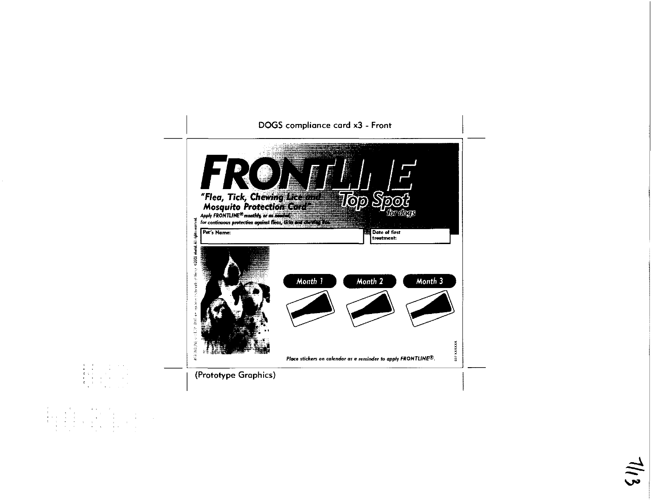

 $\ddot{\sim}$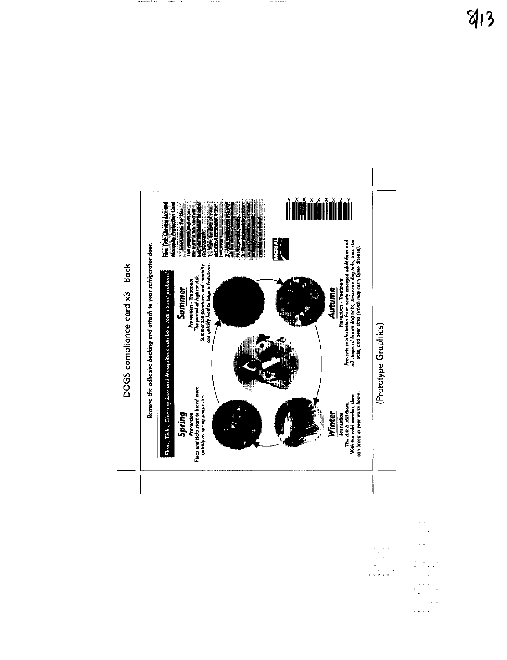

ang tingan.

 $\frac{1}{\sqrt{2}}\frac{1}{\sqrt{2}}\frac{d\theta}{d\theta}$  $\begin{aligned} \mathcal{L}^{(n)}(t) & = \mathcal{L}^{(n)} \end{aligned}$  where  $\mathcal{L}^{(n)}$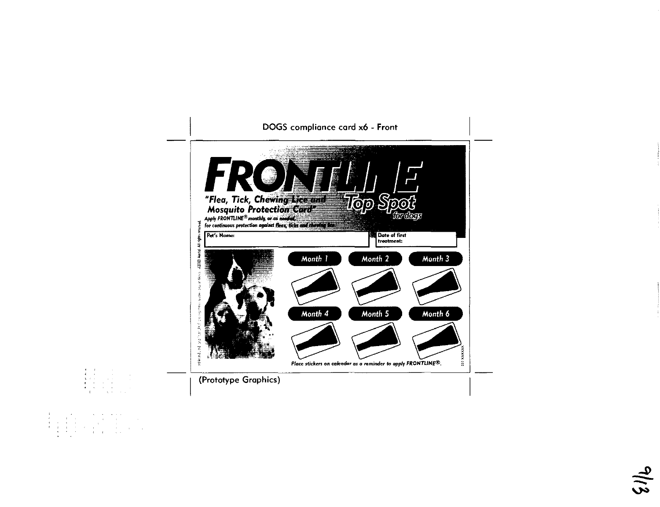

 $\begin{array}{lllllllllllllll} &\mathbf{A} & \mathbf{A} & \mathbf{A} & \mathbf{A} & \mathbf{A} & \mathbf{A} & \mathbf{A} & \mathbf{A} & \mathbf{A} \\ \mathbf{A} & \mathbf{A} & \mathbf{A} & \mathbf{A} & \mathbf{A} & \mathbf{A} & \mathbf{A} & \mathbf{A} \\ \mathbf{A} & \mathbf{A} & \mathbf{A} & \mathbf{A} & \mathbf{A} & \mathbf{A} & \mathbf{A} & \mathbf{A} \\ \mathbf{A} & \mathbf{A} & \mathbf{A} & \mathbf{A} & \math$ 

 $\frac{1}{2}$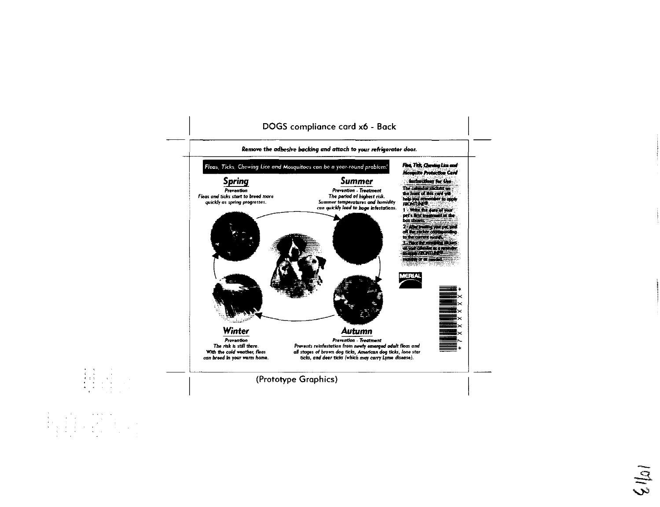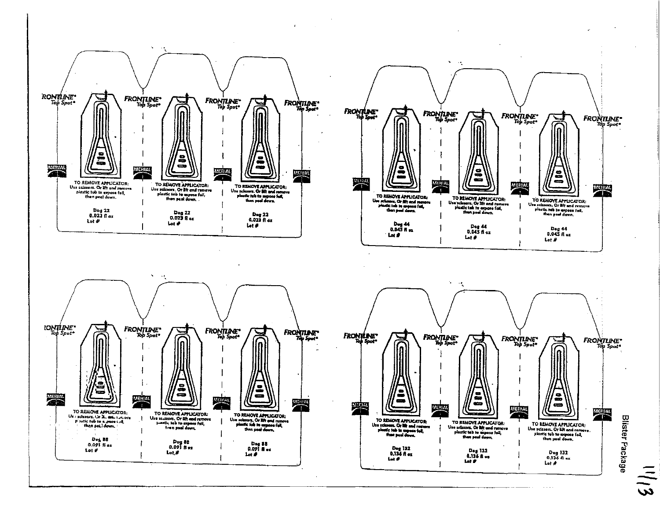

 $\cdot$ 

 $\frac{1}{3}$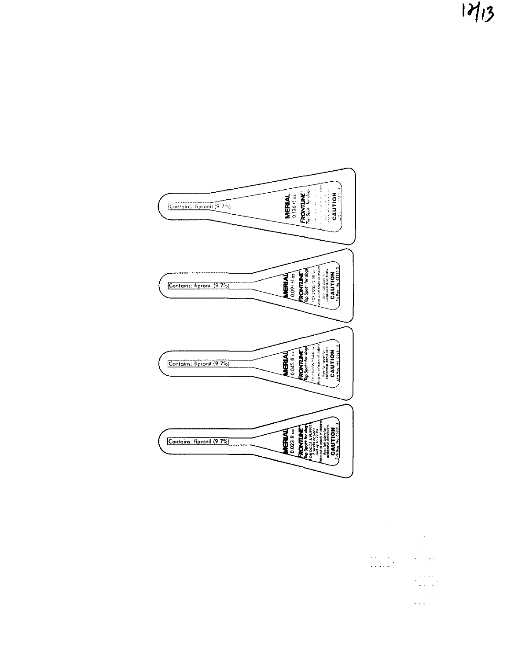$17/3$ 



 $\ddot{\phantom{0}}$  $\sim$   $\beta$  $\sim$  $\epsilon$  ,  $\epsilon$  ,  $\epsilon$  ,  $\epsilon$  $\begin{array}{l} \left( \begin{array}{cc} 0 & 0 & 0 \\ 0 & 0 & 0 \\ 0 & 0 & 0 \end{array} \right) \end{array}$  $\sim 10^{10}$ 

 $\omega$  ,  $\omega$  ,  $\omega$